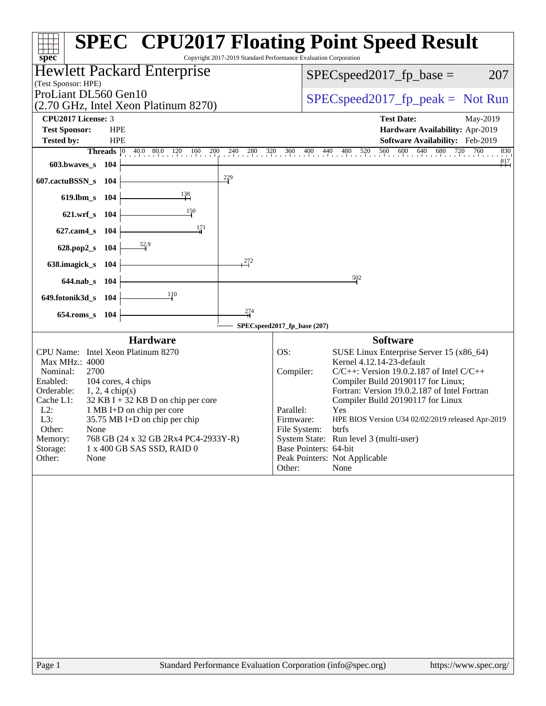| $spec^*$                                                                                                                                                                                                                                                                                                                                                                                                                            | <b>SPEC<sup>®</sup> CPU2017 Floating Point Speed Result</b><br>Copyright 2017-2019 Standard Performance Evaluation Corporation                                                                                                                                                                                                                                                                                                                                                                                                |
|-------------------------------------------------------------------------------------------------------------------------------------------------------------------------------------------------------------------------------------------------------------------------------------------------------------------------------------------------------------------------------------------------------------------------------------|-------------------------------------------------------------------------------------------------------------------------------------------------------------------------------------------------------------------------------------------------------------------------------------------------------------------------------------------------------------------------------------------------------------------------------------------------------------------------------------------------------------------------------|
| <b>Hewlett Packard Enterprise</b><br>(Test Sponsor: HPE)                                                                                                                                                                                                                                                                                                                                                                            | 207<br>$SPEC speed2017fp base =$                                                                                                                                                                                                                                                                                                                                                                                                                                                                                              |
| ProLiant DL560 Gen10<br>(2.70 GHz, Intel Xeon Platinum 8270)                                                                                                                                                                                                                                                                                                                                                                        | $SPEC speed2017rfp peak = Not Run$                                                                                                                                                                                                                                                                                                                                                                                                                                                                                            |
| <b>CPU2017 License: 3</b><br><b>Test Sponsor:</b><br><b>HPE</b><br><b>Tested by:</b><br><b>HPE</b><br>Threads 0<br>$40.0$ $80.0$ $120$ $160$<br>603.bwaves_s<br>104<br>$\frac{229}{7}$<br>607.cactuBSSN_s<br>104<br>$\frac{138}{ }$<br>619.lbm_s<br>104<br>$\frac{150}{2}$<br>$621.wrf$ <sub>S</sub><br>- 104<br>$\frac{171}{2}$<br>627.cam4_s 104<br>628.pop2_s 104                                                                | <b>Test Date:</b><br>May-2019<br>Hardware Availability: Apr-2019<br>Software Availability: Feb-2019<br>$200$ $240$ $280$ $320$ $360$ $400$ $440$ $480$ $520$ $560$ $600$ $640$ $680$ $720$ $760$<br>830<br>$^{817}$                                                                                                                                                                                                                                                                                                           |
| $\frac{272}{2}$<br>638.imagick_s<br>- 104<br>644.nab_s 104                                                                                                                                                                                                                                                                                                                                                                          | 502                                                                                                                                                                                                                                                                                                                                                                                                                                                                                                                           |
| 110<br>649.fotonik3d_s 104                                                                                                                                                                                                                                                                                                                                                                                                          |                                                                                                                                                                                                                                                                                                                                                                                                                                                                                                                               |
| $\frac{274}{4}$<br>$654$ .roms_s<br>104                                                                                                                                                                                                                                                                                                                                                                                             | SPECspeed2017_fp_base (207)                                                                                                                                                                                                                                                                                                                                                                                                                                                                                                   |
| <b>Hardware</b><br>CPU Name: Intel Xeon Platinum 8270<br>Max MHz.: 4000<br>2700<br>Nominal:<br>104 cores, 4 chips<br>Enabled:<br>Orderable:<br>$1, 2, 4$ chip(s)<br>32 KB I + 32 KB D on chip per core<br>Cache L1:<br>$L2$ :<br>1 MB I+D on chip per core<br>L3:<br>35.75 MB I+D on chip per chip<br>Other:<br>None<br>Memory:<br>768 GB (24 x 32 GB 2Rx4 PC4-2933Y-R)<br>Storage:<br>1 x 400 GB SAS SSD, RAID 0<br>Other:<br>None | <b>Software</b><br>OS:<br>SUSE Linux Enterprise Server 15 (x86_64)<br>Kernel 4.12.14-23-default<br>$C/C++$ : Version 19.0.2.187 of Intel $C/C++$<br>Compiler:<br>Compiler Build 20190117 for Linux;<br>Fortran: Version 19.0.2.187 of Intel Fortran<br>Compiler Build 20190117 for Linux<br>Parallel:<br>Yes<br>Firmware:<br>HPE BIOS Version U34 02/02/2019 released Apr-2019<br>File System:<br>btrfs<br>System State: Run level 3 (multi-user)<br>Base Pointers: 64-bit<br>Peak Pointers: Not Applicable<br>Other:<br>None |
|                                                                                                                                                                                                                                                                                                                                                                                                                                     |                                                                                                                                                                                                                                                                                                                                                                                                                                                                                                                               |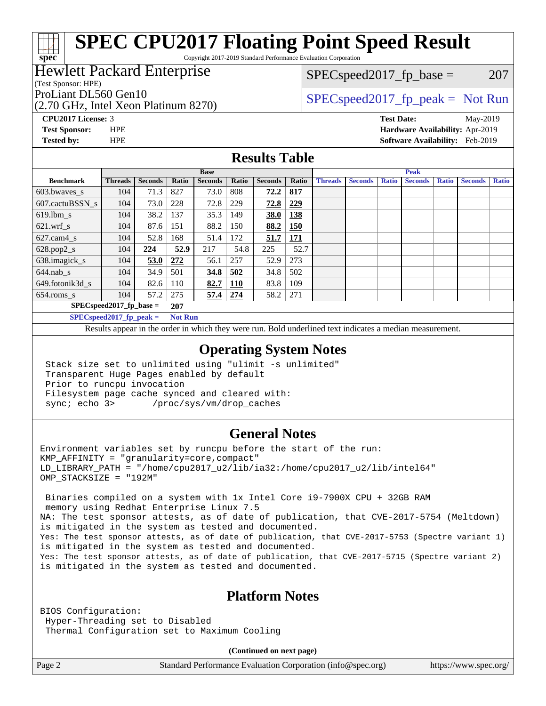Copyright 2017-2019 Standard Performance Evaluation Corporation

### Hewlett Packard Enterprise

(Test Sponsor: HPE)

**[spec](http://www.spec.org/)**

(2.70 GHz, Intel Xeon Platinum 8270)

 $SPEC speed2017_fp\_base = 207$ 

### ProLiant DL560 Gen10  $SPEC speed2017$  [p\_peak = Not Run

**[CPU2017 License:](http://www.spec.org/auto/cpu2017/Docs/result-fields.html#CPU2017License)** 3 **[Test Date:](http://www.spec.org/auto/cpu2017/Docs/result-fields.html#TestDate)** May-2019 **[Test Sponsor:](http://www.spec.org/auto/cpu2017/Docs/result-fields.html#TestSponsor)** HPE **[Hardware Availability:](http://www.spec.org/auto/cpu2017/Docs/result-fields.html#HardwareAvailability)** Apr-2019 **[Tested by:](http://www.spec.org/auto/cpu2017/Docs/result-fields.html#Testedby)** HPE **[Software Availability:](http://www.spec.org/auto/cpu2017/Docs/result-fields.html#SoftwareAvailability)** Feb-2019

### **[Results Table](http://www.spec.org/auto/cpu2017/Docs/result-fields.html#ResultsTable)**

|                          |                                      |                |                                           | <b>Base</b>    |            |                |            |                |                |              | <b>Peak</b>    |              |                |              |
|--------------------------|--------------------------------------|----------------|-------------------------------------------|----------------|------------|----------------|------------|----------------|----------------|--------------|----------------|--------------|----------------|--------------|
| <b>Benchmark</b>         | <b>Threads</b>                       | <b>Seconds</b> | Ratio                                     | <b>Seconds</b> | Ratio      | <b>Seconds</b> | Ratio      | <b>Threads</b> | <b>Seconds</b> | <b>Ratio</b> | <b>Seconds</b> | <b>Ratio</b> | <b>Seconds</b> | <b>Ratio</b> |
| 603.bwayes s             | 104                                  | 71.3           | 827                                       | 73.0           | 808        | 72.2           | 817        |                |                |              |                |              |                |              |
| 607.cactuBSSN s          | 104                                  | 73.0           | 228                                       | 72.8           | 229        | 72.8           | 229        |                |                |              |                |              |                |              |
| $619.1$ bm s             | 104                                  | 38.2           | 137                                       | 35.3           | 149        | 38.0           | 138        |                |                |              |                |              |                |              |
| $621$ .wrf s             | 104                                  | 87.6           | 151                                       | 88.2           | 150        | 88.2           | <b>150</b> |                |                |              |                |              |                |              |
| $627$ .cam $4 \text{ s}$ | 104                                  | 52.8           | 168                                       | 51.4           | 172        | 51.7           | <u>171</u> |                |                |              |                |              |                |              |
| $628.pop2_s$             | 104                                  | 224            | 52.9                                      | 217            | 54.8       | 225            | 52.7       |                |                |              |                |              |                |              |
| 638.imagick_s            | 104                                  | 53.0           | 272                                       | 56.1           | 257        | 52.9           | 273        |                |                |              |                |              |                |              |
| $644$ .nab s             | 104                                  | 34.9           | 501                                       | 34.8           | 502        | 34.8           | 502        |                |                |              |                |              |                |              |
| 649.fotonik3d s          | 104                                  | 82.6           | 110                                       | 82.7           | <b>110</b> | 83.8           | 109        |                |                |              |                |              |                |              |
| $654$ .roms s            | 104                                  | 57.2           | 275                                       | 57.4           | 274        | 58.2           | 271        |                |                |              |                |              |                |              |
|                          | $SPEC speed2017$ fp base =           |                | 207                                       |                |            |                |            |                |                |              |                |              |                |              |
|                          | $\text{CDF}$ Congod $2017$ fn nook – |                | $\mathbf{N}$ of $\mathbf{D}_{\mathbf{H}}$ |                |            |                |            |                |                |              |                |              |                |              |

**[SPECspeed2017\\_fp\\_peak =](http://www.spec.org/auto/cpu2017/Docs/result-fields.html#SPECspeed2017fppeak) Not Run**

Results appear in the [order in which they were run.](http://www.spec.org/auto/cpu2017/Docs/result-fields.html#RunOrder) Bold underlined text [indicates a median measurement](http://www.spec.org/auto/cpu2017/Docs/result-fields.html#Median).

#### **[Operating System Notes](http://www.spec.org/auto/cpu2017/Docs/result-fields.html#OperatingSystemNotes)**

 Stack size set to unlimited using "ulimit -s unlimited" Transparent Huge Pages enabled by default Prior to runcpu invocation Filesystem page cache synced and cleared with: sync; echo 3> /proc/sys/vm/drop\_caches

### **[General Notes](http://www.spec.org/auto/cpu2017/Docs/result-fields.html#GeneralNotes)**

Environment variables set by runcpu before the start of the run: KMP\_AFFINITY = "granularity=core,compact" LD\_LIBRARY\_PATH = "/home/cpu2017\_u2/lib/ia32:/home/cpu2017\_u2/lib/intel64" OMP\_STACKSIZE = "192M"

 Binaries compiled on a system with 1x Intel Core i9-7900X CPU + 32GB RAM memory using Redhat Enterprise Linux 7.5 NA: The test sponsor attests, as of date of publication, that CVE-2017-5754 (Meltdown) is mitigated in the system as tested and documented. Yes: The test sponsor attests, as of date of publication, that CVE-2017-5753 (Spectre variant 1) is mitigated in the system as tested and documented. Yes: The test sponsor attests, as of date of publication, that CVE-2017-5715 (Spectre variant 2) is mitigated in the system as tested and documented.

### **[Platform Notes](http://www.spec.org/auto/cpu2017/Docs/result-fields.html#PlatformNotes)**

BIOS Configuration: Hyper-Threading set to Disabled Thermal Configuration set to Maximum Cooling

**(Continued on next page)**

Page 2 Standard Performance Evaluation Corporation [\(info@spec.org\)](mailto:info@spec.org) <https://www.spec.org/>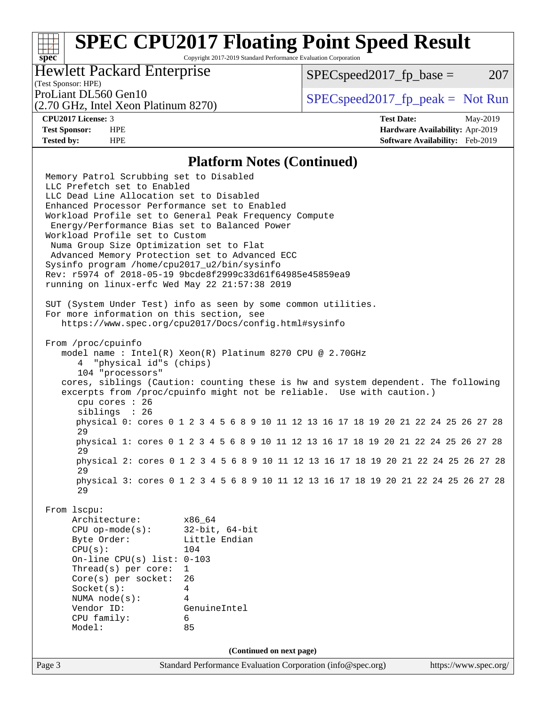Copyright 2017-2019 Standard Performance Evaluation Corporation

### Hewlett Packard Enterprise

 $SPEC speed2017<sub>fp</sub> base = 207$ 

### (Test Sponsor: HPE)

(2.70 GHz, Intel Xeon Platinum 8270)

ProLiant DL560 Gen10  $SPEC speed2017$  [p\_peak = Not Run

**[spec](http://www.spec.org/)**

**[CPU2017 License:](http://www.spec.org/auto/cpu2017/Docs/result-fields.html#CPU2017License)** 3 **[Test Date:](http://www.spec.org/auto/cpu2017/Docs/result-fields.html#TestDate)** May-2019 **[Test Sponsor:](http://www.spec.org/auto/cpu2017/Docs/result-fields.html#TestSponsor)** HPE **[Hardware Availability:](http://www.spec.org/auto/cpu2017/Docs/result-fields.html#HardwareAvailability)** Apr-2019 **[Tested by:](http://www.spec.org/auto/cpu2017/Docs/result-fields.html#Testedby)** HPE **[Software Availability:](http://www.spec.org/auto/cpu2017/Docs/result-fields.html#SoftwareAvailability)** Feb-2019

#### **[Platform Notes \(Continued\)](http://www.spec.org/auto/cpu2017/Docs/result-fields.html#PlatformNotes)**

Page 3 Standard Performance Evaluation Corporation [\(info@spec.org\)](mailto:info@spec.org) <https://www.spec.org/> Memory Patrol Scrubbing set to Disabled LLC Prefetch set to Enabled LLC Dead Line Allocation set to Disabled Enhanced Processor Performance set to Enabled Workload Profile set to General Peak Frequency Compute Energy/Performance Bias set to Balanced Power Workload Profile set to Custom Numa Group Size Optimization set to Flat Advanced Memory Protection set to Advanced ECC Sysinfo program /home/cpu2017\_u2/bin/sysinfo Rev: r5974 of 2018-05-19 9bcde8f2999c33d61f64985e45859ea9 running on linux-erfc Wed May 22 21:57:38 2019 SUT (System Under Test) info as seen by some common utilities. For more information on this section, see <https://www.spec.org/cpu2017/Docs/config.html#sysinfo> From /proc/cpuinfo model name : Intel(R) Xeon(R) Platinum 8270 CPU @ 2.70GHz 4 "physical id"s (chips) 104 "processors" cores, siblings (Caution: counting these is hw and system dependent. The following excerpts from /proc/cpuinfo might not be reliable. Use with caution.) cpu cores : 26 siblings : 26 physical 0: cores 0 1 2 3 4 5 6 8 9 10 11 12 13 16 17 18 19 20 21 22 24 25 26 27 28 29 physical 1: cores 0 1 2 3 4 5 6 8 9 10 11 12 13 16 17 18 19 20 21 22 24 25 26 27 28 29 physical 2: cores 0 1 2 3 4 5 6 8 9 10 11 12 13 16 17 18 19 20 21 22 24 25 26 27 28 29 physical 3: cores 0 1 2 3 4 5 6 8 9 10 11 12 13 16 17 18 19 20 21 22 24 25 26 27 28 29 From lscpu: Architecture: x86\_64 CPU op-mode(s): 32-bit, 64-bit Byte Order: Little Endian CPU(s): 104 On-line CPU(s) list: 0-103 Thread(s) per core: 1 Core(s) per socket: 26 Socket(s): 4 NUMA node(s): 4 Vendor ID: GenuineIntel CPU family: 6 Model: 85 **(Continued on next page)**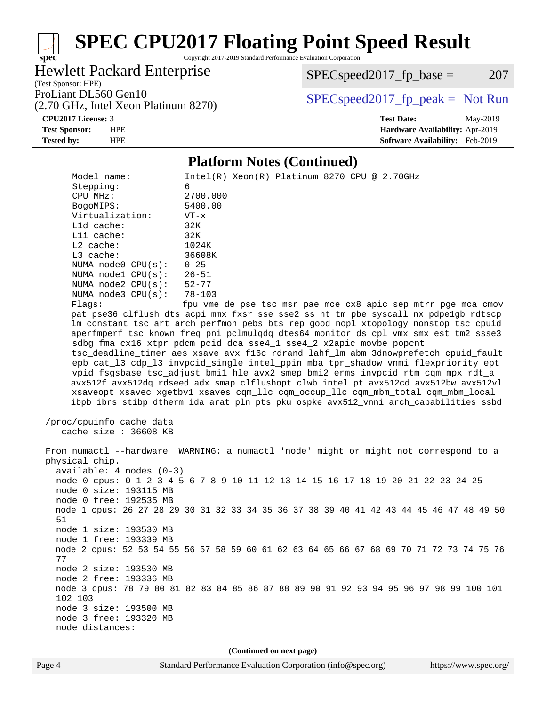Copyright 2017-2019 Standard Performance Evaluation Corporation

Hewlett Packard Enterprise

(2.70 GHz, Intel Xeon Platinum 8270)

 $SPEC speed2017_fp\_base = 207$ 

(Test Sponsor: HPE)

ProLiant DL560 Gen10  $SPEC speed2017$  [p\_peak = Not Run

**[CPU2017 License:](http://www.spec.org/auto/cpu2017/Docs/result-fields.html#CPU2017License)** 3 **[Test Date:](http://www.spec.org/auto/cpu2017/Docs/result-fields.html#TestDate)** May-2019

**[spec](http://www.spec.org/)**

**[Test Sponsor:](http://www.spec.org/auto/cpu2017/Docs/result-fields.html#TestSponsor)** HPE **[Hardware Availability:](http://www.spec.org/auto/cpu2017/Docs/result-fields.html#HardwareAvailability)** Apr-2019 **[Tested by:](http://www.spec.org/auto/cpu2017/Docs/result-fields.html#Testedby)** HPE **[Software Availability:](http://www.spec.org/auto/cpu2017/Docs/result-fields.html#SoftwareAvailability)** Feb-2019

#### **[Platform Notes \(Continued\)](http://www.spec.org/auto/cpu2017/Docs/result-fields.html#PlatformNotes)**

Model name: Intel(R) Xeon(R) Platinum 8270 CPU @ 2.70GHz Stepping: 6 CPU MHz: 2700.000 BogoMIPS: 5400.00 Virtualization: VT-x L1d cache: 32K L1i cache: 32K L2 cache: 1024K<br>
L3 cache: 36608K  $L3$  cache: NUMA node0 CPU(s): 0-25 NUMA node1 CPU(s): 26-51<br>NUMA node2 CPU(s): 52-77 NUMA node2  $CPU(s):$  NUMA node3 CPU(s): 78-103 Flags: fpu vme de pse tsc msr pae mce cx8 apic sep mtrr pge mca cmov pat pse36 clflush dts acpi mmx fxsr sse sse2 ss ht tm pbe syscall nx pdpe1gb rdtscp lm constant\_tsc art arch\_perfmon pebs bts rep\_good nopl xtopology nonstop\_tsc cpuid aperfmperf tsc\_known\_freq pni pclmulqdq dtes64 monitor ds\_cpl vmx smx est tm2 ssse3 sdbg fma cx16 xtpr pdcm pcid dca sse4\_1 sse4\_2 x2apic movbe popcnt tsc\_deadline\_timer aes xsave avx f16c rdrand lahf\_lm abm 3dnowprefetch cpuid\_fault epb cat\_l3 cdp\_l3 invpcid\_single intel\_ppin mba tpr\_shadow vnmi flexpriority ept vpid fsgsbase tsc\_adjust bmi1 hle avx2 smep bmi2 erms invpcid rtm cqm mpx rdt\_a avx512f avx512dq rdseed adx smap clflushopt clwb intel\_pt avx512cd avx512bw avx512vl xsaveopt xsavec xgetbv1 xsaves cqm\_llc cqm\_occup\_llc cqm\_mbm\_total cqm\_mbm\_local ibpb ibrs stibp dtherm ida arat pln pts pku ospke avx512\_vnni arch\_capabilities ssbd /proc/cpuinfo cache data cache size : 36608 KB From numactl --hardware WARNING: a numactl 'node' might or might not correspond to a physical chip. available: 4 nodes (0-3) node 0 cpus: 0 1 2 3 4 5 6 7 8 9 10 11 12 13 14 15 16 17 18 19 20 21 22 23 24 25 node 0 size: 193115 MB node 0 free: 192535 MB node 1 cpus: 26 27 28 29 30 31 32 33 34 35 36 37 38 39 40 41 42 43 44 45 46 47 48 49 50 51 node 1 size: 193530 MB node 1 free: 193339 MB node 2 cpus: 52 53 54 55 56 57 58 59 60 61 62 63 64 65 66 67 68 69 70 71 72 73 74 75 76 77 node 2 size: 193530 MB node 2 free: 193336 MB node 3 cpus: 78 79 80 81 82 83 84 85 86 87 88 89 90 91 92 93 94 95 96 97 98 99 100 101 102 103 node 3 size: 193500 MB node 3 free: 193320 MB node distances:

**(Continued on next page)**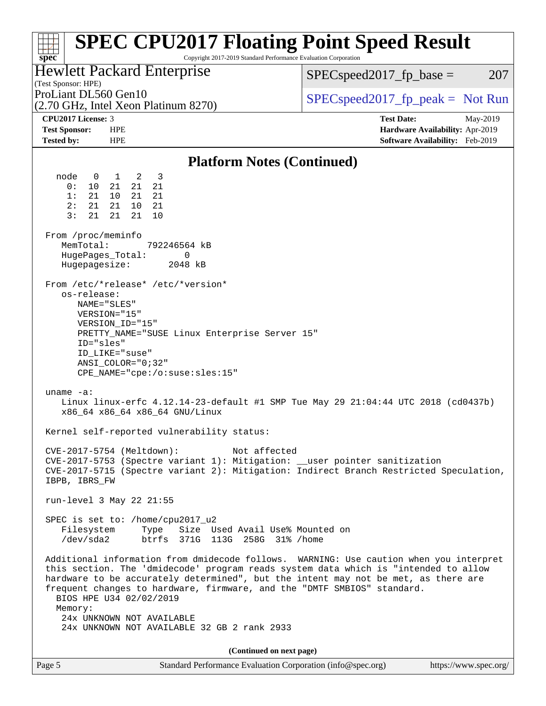| <b>SPEC CPU2017 Floating Point Speed Result</b><br>Copyright 2017-2019 Standard Performance Evaluation Corporation<br>$spec^*$                                                                                                                                                                                                                                                                                                                                   |                                   |
|------------------------------------------------------------------------------------------------------------------------------------------------------------------------------------------------------------------------------------------------------------------------------------------------------------------------------------------------------------------------------------------------------------------------------------------------------------------|-----------------------------------|
| Hewlett Packard Enterprise                                                                                                                                                                                                                                                                                                                                                                                                                                       | $SPEC speed2017fr base =$<br>207  |
| (Test Sponsor: HPE)                                                                                                                                                                                                                                                                                                                                                                                                                                              |                                   |
| ProLiant DL560 Gen10<br>(2.70 GHz, Intel Xeon Platinum 8270)                                                                                                                                                                                                                                                                                                                                                                                                     | $SPEC speed2017fr peak = Not Run$ |
| CPU2017 License: 3                                                                                                                                                                                                                                                                                                                                                                                                                                               | <b>Test Date:</b><br>May-2019     |
| <b>Test Sponsor:</b><br><b>HPE</b>                                                                                                                                                                                                                                                                                                                                                                                                                               | Hardware Availability: Apr-2019   |
| <b>Tested by:</b><br><b>HPE</b>                                                                                                                                                                                                                                                                                                                                                                                                                                  | Software Availability: Feb-2019   |
| <b>Platform Notes (Continued)</b>                                                                                                                                                                                                                                                                                                                                                                                                                                |                                   |
| node<br>$1 \quad 2$<br>- 3<br>$\overline{0}$<br>21<br>0:<br>10<br>21<br>21<br>21<br>1:<br>10 <sup>1</sup><br>21<br>21<br>21<br>21<br>2:<br>10<br>- 21<br>3:<br>21<br>21<br>21<br>10<br>From /proc/meminfo                                                                                                                                                                                                                                                        |                                   |
| MemTotal:<br>792246564 kB<br>0<br>HugePages_Total:<br>Hugepagesize:<br>2048 kB                                                                                                                                                                                                                                                                                                                                                                                   |                                   |
| From /etc/*release* /etc/*version*<br>os-release:<br>NAME="SLES"<br>VERSION="15"<br>VERSION_ID="15"<br>PRETTY_NAME="SUSE Linux Enterprise Server 15"<br>ID="sles"<br>ID LIKE="suse"<br>ANSI COLOR="0;32"<br>CPE_NAME="cpe:/o:suse:sles:15"                                                                                                                                                                                                                       |                                   |
| uname $-a$ :<br>Linux linux-erfc 4.12.14-23-default #1 SMP Tue May 29 21:04:44 UTC 2018 (cd0437b)<br>x86_64 x86_64 x86_64 GNU/Linux                                                                                                                                                                                                                                                                                                                              |                                   |
| Kernel self-reported vulnerability status:                                                                                                                                                                                                                                                                                                                                                                                                                       |                                   |
| CVE-2017-5754 (Meltdown):<br>Not affected<br>CVE-2017-5753 (Spectre variant 1): Mitigation: __user pointer sanitization<br>CVE-2017-5715 (Spectre variant 2): Mitigation: Indirect Branch Restricted Speculation,<br>IBPB, IBRS_FW                                                                                                                                                                                                                               |                                   |
| run-level 3 May 22 21:55                                                                                                                                                                                                                                                                                                                                                                                                                                         |                                   |
| SPEC is set to: /home/cpu2017_u2<br>Filesystem<br>Type Size Used Avail Use% Mounted on<br>/dev/sda2<br>btrfs 371G 113G 258G 31% / home                                                                                                                                                                                                                                                                                                                           |                                   |
| Additional information from dmidecode follows. WARNING: Use caution when you interpret<br>this section. The 'dmidecode' program reads system data which is "intended to allow<br>hardware to be accurately determined", but the intent may not be met, as there are<br>frequent changes to hardware, firmware, and the "DMTF SMBIOS" standard.<br>BIOS HPE U34 02/02/2019<br>Memory:<br>24x UNKNOWN NOT AVAILABLE<br>24x UNKNOWN NOT AVAILABLE 32 GB 2 rank 2933 |                                   |
|                                                                                                                                                                                                                                                                                                                                                                                                                                                                  |                                   |
| (Continued on next page)<br>Standard Performance Evaluation Corporation (info@spec.org)<br>Page 5                                                                                                                                                                                                                                                                                                                                                                | https://www.spec.org/             |
|                                                                                                                                                                                                                                                                                                                                                                                                                                                                  |                                   |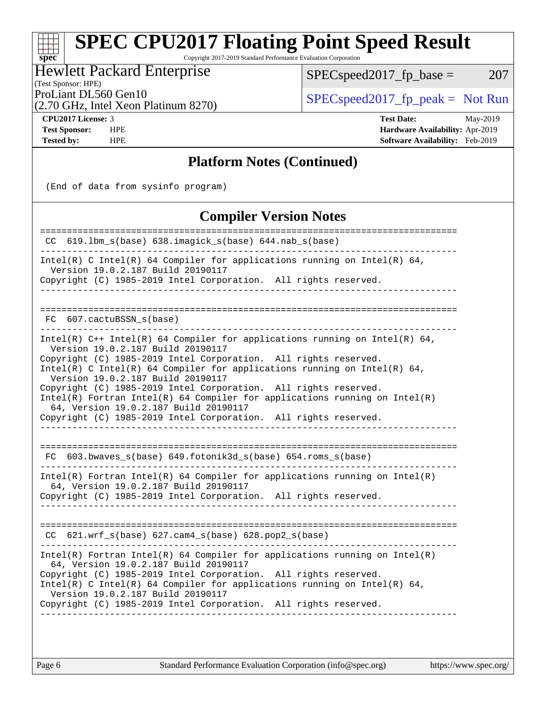Copyright 2017-2019 Standard Performance Evaluation Corporation

Hewlett Packard Enterprise

 $SPECspeed2017_fp\_base = 207$ 

(Test Sponsor: HPE)

ProLiant DL560 Gen10<br>  $\begin{array}{c|c}\n\text{SPEC speed2017\_fp\_peak} = \text{Not Run} \\
\hline\n\end{array}$ 

(2.70 GHz, Intel Xeon Platinum 8270)

**[spec](http://www.spec.org/)**

**[CPU2017 License:](http://www.spec.org/auto/cpu2017/Docs/result-fields.html#CPU2017License)** 3 **[Test Date:](http://www.spec.org/auto/cpu2017/Docs/result-fields.html#TestDate)** May-2019 **[Test Sponsor:](http://www.spec.org/auto/cpu2017/Docs/result-fields.html#TestSponsor)** HPE **[Hardware Availability:](http://www.spec.org/auto/cpu2017/Docs/result-fields.html#HardwareAvailability)** Apr-2019 **[Tested by:](http://www.spec.org/auto/cpu2017/Docs/result-fields.html#Testedby)** HPE **[Software Availability:](http://www.spec.org/auto/cpu2017/Docs/result-fields.html#SoftwareAvailability)** Feb-2019

### **[Platform Notes \(Continued\)](http://www.spec.org/auto/cpu2017/Docs/result-fields.html#PlatformNotes)**

(End of data from sysinfo program)

### **[Compiler Version Notes](http://www.spec.org/auto/cpu2017/Docs/result-fields.html#CompilerVersionNotes)**

| 619.1bm_s(base) 638.imagick_s(base) 644.nab_s(base)<br>CC.                                                                                                                                                                                                                                                                                                                                                                                                                                                                                                           |
|----------------------------------------------------------------------------------------------------------------------------------------------------------------------------------------------------------------------------------------------------------------------------------------------------------------------------------------------------------------------------------------------------------------------------------------------------------------------------------------------------------------------------------------------------------------------|
| Intel(R) C Intel(R) 64 Compiler for applications running on Intel(R) 64,<br>Version 19.0.2.187 Build 20190117<br>Copyright (C) 1985-2019 Intel Corporation. All rights reserved.                                                                                                                                                                                                                                                                                                                                                                                     |
| 607.cactuBSSN s(base)<br>FC.                                                                                                                                                                                                                                                                                                                                                                                                                                                                                                                                         |
| Intel(R) $C++$ Intel(R) 64 Compiler for applications running on Intel(R) 64,<br>Version 19.0.2.187 Build 20190117<br>Copyright (C) 1985-2019 Intel Corporation. All rights reserved.<br>Intel(R) C Intel(R) 64 Compiler for applications running on Intel(R) 64,<br>Version 19.0.2.187 Build 20190117<br>Copyright (C) 1985-2019 Intel Corporation. All rights reserved.<br>$Intel(R)$ Fortran Intel(R) 64 Compiler for applications running on Intel(R)<br>64, Version 19.0.2.187 Build 20190117<br>Copyright (C) 1985-2019 Intel Corporation. All rights reserved. |
| FC 603.bwaves_s(base) 649.fotonik3d_s(base) 654.roms_s(base)                                                                                                                                                                                                                                                                                                                                                                                                                                                                                                         |
| $Intel(R)$ Fortran Intel(R) 64 Compiler for applications running on Intel(R)<br>64, Version 19.0.2.187 Build 20190117<br>Copyright (C) 1985-2019 Intel Corporation. All rights reserved.                                                                                                                                                                                                                                                                                                                                                                             |
| 621.wrf_s(base) 627.cam4_s(base) 628.pop2_s(base)<br>CC.                                                                                                                                                                                                                                                                                                                                                                                                                                                                                                             |
| $Intel(R)$ Fortran Intel(R) 64 Compiler for applications running on Intel(R)<br>64, Version 19.0.2.187 Build 20190117<br>Copyright (C) 1985-2019 Intel Corporation. All rights reserved.<br>Intel(R) C Intel(R) 64 Compiler for applications running on Intel(R) 64,<br>Version 19.0.2.187 Build 20190117<br>Copyright (C) 1985-2019 Intel Corporation. All rights reserved.                                                                                                                                                                                         |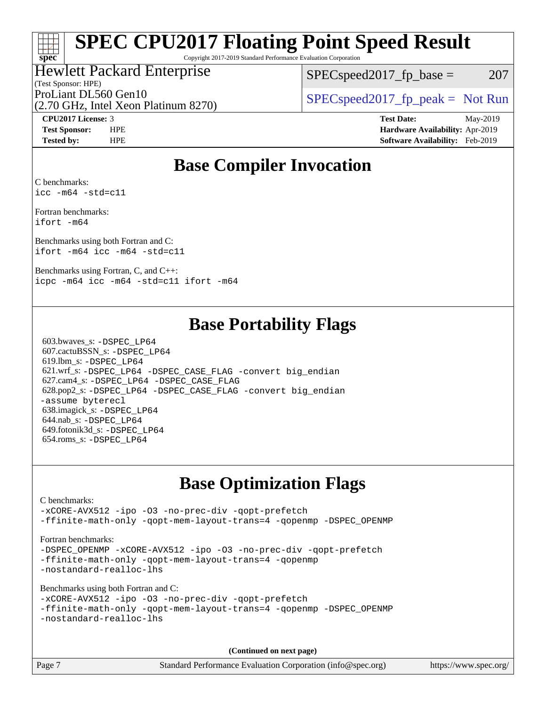Copyright 2017-2019 Standard Performance Evaluation Corporation

### Hewlett Packard Enterprise

(Test Sponsor: HPE)

 $SPEC speed2017_fp\_base = 207$ 

(2.70 GHz, Intel Xeon Platinum 8270)

ProLiant DL560 Gen10<br>  $SPEC speed2017$  [p\_peak = Not Run

**[spec](http://www.spec.org/)**

**[CPU2017 License:](http://www.spec.org/auto/cpu2017/Docs/result-fields.html#CPU2017License)** 3 **[Test Date:](http://www.spec.org/auto/cpu2017/Docs/result-fields.html#TestDate)** May-2019 **[Test Sponsor:](http://www.spec.org/auto/cpu2017/Docs/result-fields.html#TestSponsor)** HPE **[Hardware Availability:](http://www.spec.org/auto/cpu2017/Docs/result-fields.html#HardwareAvailability)** Apr-2019 **[Tested by:](http://www.spec.org/auto/cpu2017/Docs/result-fields.html#Testedby)** HPE **[Software Availability:](http://www.spec.org/auto/cpu2017/Docs/result-fields.html#SoftwareAvailability)** Feb-2019

### **[Base Compiler Invocation](http://www.spec.org/auto/cpu2017/Docs/result-fields.html#BaseCompilerInvocation)**

[C benchmarks:](http://www.spec.org/auto/cpu2017/Docs/result-fields.html#Cbenchmarks) [icc -m64 -std=c11](http://www.spec.org/cpu2017/results/res2019q3/cpu2017-20190625-15732.flags.html#user_CCbase_intel_icc_64bit_c11_33ee0cdaae7deeeab2a9725423ba97205ce30f63b9926c2519791662299b76a0318f32ddfffdc46587804de3178b4f9328c46fa7c2b0cd779d7a61945c91cd35)

[Fortran benchmarks](http://www.spec.org/auto/cpu2017/Docs/result-fields.html#Fortranbenchmarks): [ifort -m64](http://www.spec.org/cpu2017/results/res2019q3/cpu2017-20190625-15732.flags.html#user_FCbase_intel_ifort_64bit_24f2bb282fbaeffd6157abe4f878425411749daecae9a33200eee2bee2fe76f3b89351d69a8130dd5949958ce389cf37ff59a95e7a40d588e8d3a57e0c3fd751)

[Benchmarks using both Fortran and C:](http://www.spec.org/auto/cpu2017/Docs/result-fields.html#BenchmarksusingbothFortranandC) [ifort -m64](http://www.spec.org/cpu2017/results/res2019q3/cpu2017-20190625-15732.flags.html#user_CC_FCbase_intel_ifort_64bit_24f2bb282fbaeffd6157abe4f878425411749daecae9a33200eee2bee2fe76f3b89351d69a8130dd5949958ce389cf37ff59a95e7a40d588e8d3a57e0c3fd751) [icc -m64 -std=c11](http://www.spec.org/cpu2017/results/res2019q3/cpu2017-20190625-15732.flags.html#user_CC_FCbase_intel_icc_64bit_c11_33ee0cdaae7deeeab2a9725423ba97205ce30f63b9926c2519791662299b76a0318f32ddfffdc46587804de3178b4f9328c46fa7c2b0cd779d7a61945c91cd35)

[Benchmarks using Fortran, C, and C++:](http://www.spec.org/auto/cpu2017/Docs/result-fields.html#BenchmarksusingFortranCandCXX) [icpc -m64](http://www.spec.org/cpu2017/results/res2019q3/cpu2017-20190625-15732.flags.html#user_CC_CXX_FCbase_intel_icpc_64bit_4ecb2543ae3f1412ef961e0650ca070fec7b7afdcd6ed48761b84423119d1bf6bdf5cad15b44d48e7256388bc77273b966e5eb805aefd121eb22e9299b2ec9d9) [icc -m64 -std=c11](http://www.spec.org/cpu2017/results/res2019q3/cpu2017-20190625-15732.flags.html#user_CC_CXX_FCbase_intel_icc_64bit_c11_33ee0cdaae7deeeab2a9725423ba97205ce30f63b9926c2519791662299b76a0318f32ddfffdc46587804de3178b4f9328c46fa7c2b0cd779d7a61945c91cd35) [ifort -m64](http://www.spec.org/cpu2017/results/res2019q3/cpu2017-20190625-15732.flags.html#user_CC_CXX_FCbase_intel_ifort_64bit_24f2bb282fbaeffd6157abe4f878425411749daecae9a33200eee2bee2fe76f3b89351d69a8130dd5949958ce389cf37ff59a95e7a40d588e8d3a57e0c3fd751)

### **[Base Portability Flags](http://www.spec.org/auto/cpu2017/Docs/result-fields.html#BasePortabilityFlags)**

 603.bwaves\_s: [-DSPEC\\_LP64](http://www.spec.org/cpu2017/results/res2019q3/cpu2017-20190625-15732.flags.html#suite_basePORTABILITY603_bwaves_s_DSPEC_LP64) 607.cactuBSSN\_s: [-DSPEC\\_LP64](http://www.spec.org/cpu2017/results/res2019q3/cpu2017-20190625-15732.flags.html#suite_basePORTABILITY607_cactuBSSN_s_DSPEC_LP64) 619.lbm\_s: [-DSPEC\\_LP64](http://www.spec.org/cpu2017/results/res2019q3/cpu2017-20190625-15732.flags.html#suite_basePORTABILITY619_lbm_s_DSPEC_LP64) 621.wrf\_s: [-DSPEC\\_LP64](http://www.spec.org/cpu2017/results/res2019q3/cpu2017-20190625-15732.flags.html#suite_basePORTABILITY621_wrf_s_DSPEC_LP64) [-DSPEC\\_CASE\\_FLAG](http://www.spec.org/cpu2017/results/res2019q3/cpu2017-20190625-15732.flags.html#b621.wrf_s_baseCPORTABILITY_DSPEC_CASE_FLAG) [-convert big\\_endian](http://www.spec.org/cpu2017/results/res2019q3/cpu2017-20190625-15732.flags.html#user_baseFPORTABILITY621_wrf_s_convert_big_endian_c3194028bc08c63ac5d04de18c48ce6d347e4e562e8892b8bdbdc0214820426deb8554edfa529a3fb25a586e65a3d812c835984020483e7e73212c4d31a38223) 627.cam4\_s: [-DSPEC\\_LP64](http://www.spec.org/cpu2017/results/res2019q3/cpu2017-20190625-15732.flags.html#suite_basePORTABILITY627_cam4_s_DSPEC_LP64) [-DSPEC\\_CASE\\_FLAG](http://www.spec.org/cpu2017/results/res2019q3/cpu2017-20190625-15732.flags.html#b627.cam4_s_baseCPORTABILITY_DSPEC_CASE_FLAG) 628.pop2\_s: [-DSPEC\\_LP64](http://www.spec.org/cpu2017/results/res2019q3/cpu2017-20190625-15732.flags.html#suite_basePORTABILITY628_pop2_s_DSPEC_LP64) [-DSPEC\\_CASE\\_FLAG](http://www.spec.org/cpu2017/results/res2019q3/cpu2017-20190625-15732.flags.html#b628.pop2_s_baseCPORTABILITY_DSPEC_CASE_FLAG) [-convert big\\_endian](http://www.spec.org/cpu2017/results/res2019q3/cpu2017-20190625-15732.flags.html#user_baseFPORTABILITY628_pop2_s_convert_big_endian_c3194028bc08c63ac5d04de18c48ce6d347e4e562e8892b8bdbdc0214820426deb8554edfa529a3fb25a586e65a3d812c835984020483e7e73212c4d31a38223) [-assume byterecl](http://www.spec.org/cpu2017/results/res2019q3/cpu2017-20190625-15732.flags.html#user_baseFPORTABILITY628_pop2_s_assume_byterecl_7e47d18b9513cf18525430bbf0f2177aa9bf368bc7a059c09b2c06a34b53bd3447c950d3f8d6c70e3faf3a05c8557d66a5798b567902e8849adc142926523472) 638.imagick\_s: [-DSPEC\\_LP64](http://www.spec.org/cpu2017/results/res2019q3/cpu2017-20190625-15732.flags.html#suite_basePORTABILITY638_imagick_s_DSPEC_LP64) 644.nab\_s: [-DSPEC\\_LP64](http://www.spec.org/cpu2017/results/res2019q3/cpu2017-20190625-15732.flags.html#suite_basePORTABILITY644_nab_s_DSPEC_LP64) 649.fotonik3d\_s: [-DSPEC\\_LP64](http://www.spec.org/cpu2017/results/res2019q3/cpu2017-20190625-15732.flags.html#suite_basePORTABILITY649_fotonik3d_s_DSPEC_LP64) 654.roms\_s: [-DSPEC\\_LP64](http://www.spec.org/cpu2017/results/res2019q3/cpu2017-20190625-15732.flags.html#suite_basePORTABILITY654_roms_s_DSPEC_LP64)

### **[Base Optimization Flags](http://www.spec.org/auto/cpu2017/Docs/result-fields.html#BaseOptimizationFlags)**

#### [C benchmarks](http://www.spec.org/auto/cpu2017/Docs/result-fields.html#Cbenchmarks): [-xCORE-AVX512](http://www.spec.org/cpu2017/results/res2019q3/cpu2017-20190625-15732.flags.html#user_CCbase_f-xCORE-AVX512) [-ipo](http://www.spec.org/cpu2017/results/res2019q3/cpu2017-20190625-15732.flags.html#user_CCbase_f-ipo) [-O3](http://www.spec.org/cpu2017/results/res2019q3/cpu2017-20190625-15732.flags.html#user_CCbase_f-O3) [-no-prec-div](http://www.spec.org/cpu2017/results/res2019q3/cpu2017-20190625-15732.flags.html#user_CCbase_f-no-prec-div) [-qopt-prefetch](http://www.spec.org/cpu2017/results/res2019q3/cpu2017-20190625-15732.flags.html#user_CCbase_f-qopt-prefetch) [-ffinite-math-only](http://www.spec.org/cpu2017/results/res2019q3/cpu2017-20190625-15732.flags.html#user_CCbase_f_finite_math_only_cb91587bd2077682c4b38af759c288ed7c732db004271a9512da14a4f8007909a5f1427ecbf1a0fb78ff2a814402c6114ac565ca162485bbcae155b5e4258871) [-qopt-mem-layout-trans=4](http://www.spec.org/cpu2017/results/res2019q3/cpu2017-20190625-15732.flags.html#user_CCbase_f-qopt-mem-layout-trans_fa39e755916c150a61361b7846f310bcdf6f04e385ef281cadf3647acec3f0ae266d1a1d22d972a7087a248fd4e6ca390a3634700869573d231a252c784941a8) [-qopenmp](http://www.spec.org/cpu2017/results/res2019q3/cpu2017-20190625-15732.flags.html#user_CCbase_qopenmp_16be0c44f24f464004c6784a7acb94aca937f053568ce72f94b139a11c7c168634a55f6653758ddd83bcf7b8463e8028bb0b48b77bcddc6b78d5d95bb1df2967) [-DSPEC\\_OPENMP](http://www.spec.org/cpu2017/results/res2019q3/cpu2017-20190625-15732.flags.html#suite_CCbase_DSPEC_OPENMP) [Fortran benchmarks](http://www.spec.org/auto/cpu2017/Docs/result-fields.html#Fortranbenchmarks): -DSPEC OPENMP [-xCORE-AVX512](http://www.spec.org/cpu2017/results/res2019q3/cpu2017-20190625-15732.flags.html#user_FCbase_f-xCORE-AVX512) [-ipo](http://www.spec.org/cpu2017/results/res2019q3/cpu2017-20190625-15732.flags.html#user_FCbase_f-ipo) [-O3](http://www.spec.org/cpu2017/results/res2019q3/cpu2017-20190625-15732.flags.html#user_FCbase_f-O3) [-no-prec-div](http://www.spec.org/cpu2017/results/res2019q3/cpu2017-20190625-15732.flags.html#user_FCbase_f-no-prec-div) [-qopt-prefetch](http://www.spec.org/cpu2017/results/res2019q3/cpu2017-20190625-15732.flags.html#user_FCbase_f-qopt-prefetch) [-ffinite-math-only](http://www.spec.org/cpu2017/results/res2019q3/cpu2017-20190625-15732.flags.html#user_FCbase_f_finite_math_only_cb91587bd2077682c4b38af759c288ed7c732db004271a9512da14a4f8007909a5f1427ecbf1a0fb78ff2a814402c6114ac565ca162485bbcae155b5e4258871) [-qopt-mem-layout-trans=4](http://www.spec.org/cpu2017/results/res2019q3/cpu2017-20190625-15732.flags.html#user_FCbase_f-qopt-mem-layout-trans_fa39e755916c150a61361b7846f310bcdf6f04e385ef281cadf3647acec3f0ae266d1a1d22d972a7087a248fd4e6ca390a3634700869573d231a252c784941a8) [-qopenmp](http://www.spec.org/cpu2017/results/res2019q3/cpu2017-20190625-15732.flags.html#user_FCbase_qopenmp_16be0c44f24f464004c6784a7acb94aca937f053568ce72f94b139a11c7c168634a55f6653758ddd83bcf7b8463e8028bb0b48b77bcddc6b78d5d95bb1df2967) [-nostandard-realloc-lhs](http://www.spec.org/cpu2017/results/res2019q3/cpu2017-20190625-15732.flags.html#user_FCbase_f_2003_std_realloc_82b4557e90729c0f113870c07e44d33d6f5a304b4f63d4c15d2d0f1fab99f5daaed73bdb9275d9ae411527f28b936061aa8b9c8f2d63842963b95c9dd6426b8a) [Benchmarks using both Fortran and C](http://www.spec.org/auto/cpu2017/Docs/result-fields.html#BenchmarksusingbothFortranandC): [-xCORE-AVX512](http://www.spec.org/cpu2017/results/res2019q3/cpu2017-20190625-15732.flags.html#user_CC_FCbase_f-xCORE-AVX512) [-ipo](http://www.spec.org/cpu2017/results/res2019q3/cpu2017-20190625-15732.flags.html#user_CC_FCbase_f-ipo) [-O3](http://www.spec.org/cpu2017/results/res2019q3/cpu2017-20190625-15732.flags.html#user_CC_FCbase_f-O3) [-no-prec-div](http://www.spec.org/cpu2017/results/res2019q3/cpu2017-20190625-15732.flags.html#user_CC_FCbase_f-no-prec-div) [-qopt-prefetch](http://www.spec.org/cpu2017/results/res2019q3/cpu2017-20190625-15732.flags.html#user_CC_FCbase_f-qopt-prefetch) [-ffinite-math-only](http://www.spec.org/cpu2017/results/res2019q3/cpu2017-20190625-15732.flags.html#user_CC_FCbase_f_finite_math_only_cb91587bd2077682c4b38af759c288ed7c732db004271a9512da14a4f8007909a5f1427ecbf1a0fb78ff2a814402c6114ac565ca162485bbcae155b5e4258871) [-qopt-mem-layout-trans=4](http://www.spec.org/cpu2017/results/res2019q3/cpu2017-20190625-15732.flags.html#user_CC_FCbase_f-qopt-mem-layout-trans_fa39e755916c150a61361b7846f310bcdf6f04e385ef281cadf3647acec3f0ae266d1a1d22d972a7087a248fd4e6ca390a3634700869573d231a252c784941a8) [-qopenmp](http://www.spec.org/cpu2017/results/res2019q3/cpu2017-20190625-15732.flags.html#user_CC_FCbase_qopenmp_16be0c44f24f464004c6784a7acb94aca937f053568ce72f94b139a11c7c168634a55f6653758ddd83bcf7b8463e8028bb0b48b77bcddc6b78d5d95bb1df2967) [-DSPEC\\_OPENMP](http://www.spec.org/cpu2017/results/res2019q3/cpu2017-20190625-15732.flags.html#suite_CC_FCbase_DSPEC_OPENMP) [-nostandard-realloc-lhs](http://www.spec.org/cpu2017/results/res2019q3/cpu2017-20190625-15732.flags.html#user_CC_FCbase_f_2003_std_realloc_82b4557e90729c0f113870c07e44d33d6f5a304b4f63d4c15d2d0f1fab99f5daaed73bdb9275d9ae411527f28b936061aa8b9c8f2d63842963b95c9dd6426b8a) **(Continued on next page)**

Page 7 Standard Performance Evaluation Corporation [\(info@spec.org\)](mailto:info@spec.org) <https://www.spec.org/>